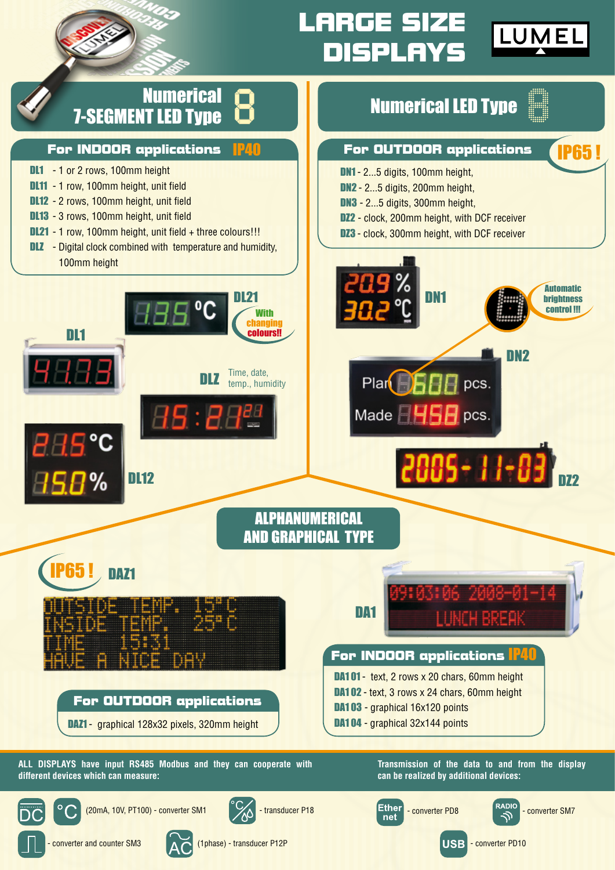

## **LARGE SIZE DISPLAYS**

**For OUTDOOR applications**

Numerical LED Type

DN1 - 2...5 digits, 100mm height, DN2 - 2...5 digits, 200mm height, DN3 - 2...5 digits, 300mm height,



IP65 !

DZ2



#### **For INDOOR applications**

- DL1 1 or 2 rows, 100mm height
- DL11 1 row, 100mm height, unit field
- DL12 2 rows, 100mm height, unit field
- DL13 3 rows, 100mm height, unit field

DL1

DL21 - 1 row, 100mm height, unit field + three colours!!!

DL12

**DLZ** - Digital clock combined with temperature and humidity, 100mm height



ALPHANUMERICAL AND GRAPHICAL TYPE

# DAZ1



**For OUTDOOR applications**

DAZ1 - graphical 128x32 pixels, 320mm height

## **For INDOOR applications** IP40 DA1

### DA1 01 - text, 2 rows x 20 chars, 60mm height

- DA1 02 text, 3 rows x 24 chars, 60mm height
- DA1 03 graphical 16x120 points
- DA1 04 graphical 32x144 points

**ALL DISPLAYS have input RS485 Modbus and they can cooperate with different devices which can measure:**

**Transmission of the data to and from the display can be realized by additional devices:**



 $(20 \text{mA}, 10 \text{V}, \text{PT100})$  - converter SM1  $\bigvee$  - transducer P18









- converter and counter SM3 (1phase) - transducer P12P



**USB** - converter PD10